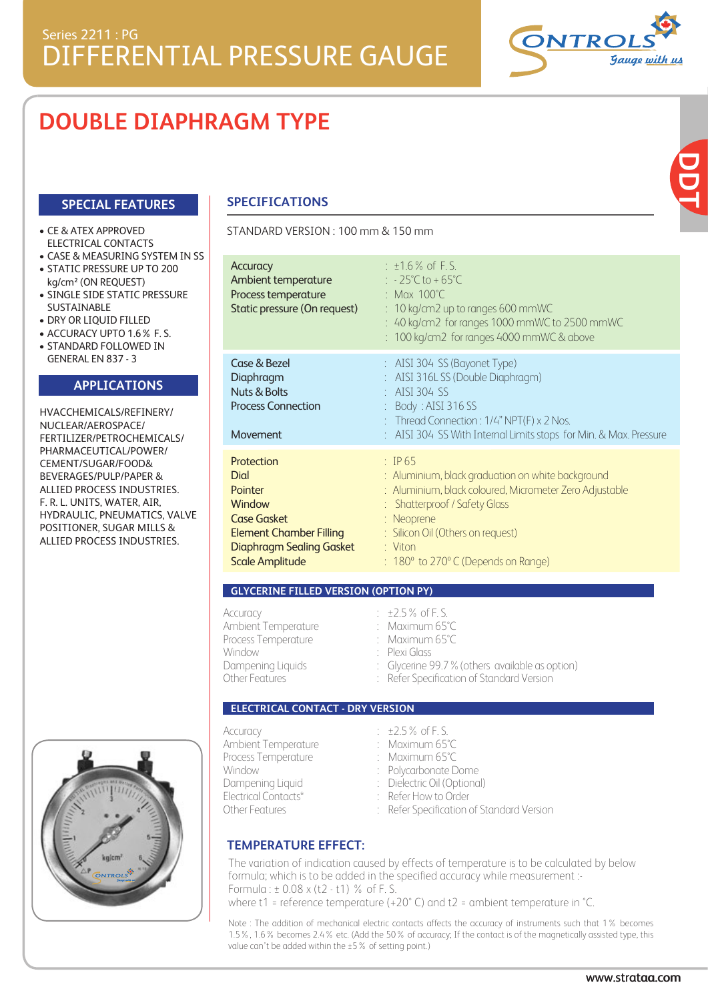# **DOUBLE DIAPHRAGM TYPE**

## **SPECIAL FEATURES**

#### • CE & ATEX APPROVED ELECTRICAL CONTACTS

- CASE & MEASURING SYSTEM IN SS
- STATIC PRESSURE UP TO 200 kg/cm² (ON REQUEST)
- SINGLE SIDE STATIC PRESSURE SUSTAINABLE
- DRY OR LIQUID FILLED
- ACCURACY UPTO 1.6% F. S.
- STANDARD FOLLOWED IN GENERAL EN 837 - 3

### **APPLICATIONS**

HVACCHEMICALS/REFINERY/ NUCLEAR/AEROSPACE/ FERTILIZER/PETROCHEMICALS/ PHARMACEUTICAL/POWER/ CEMENT/SUGAR/FOOD& BEVERAGES/PULP/PAPER & ALLIED PROCESS INDUSTRIES. F. R. L. UNITS, WATER, AIR, HYDRAULIC, PNEUMATICS, VALVE POSITIONER, SUGAR MILLS & ALLIED PROCESS INDUSTRIES.



## **SPECIFICATIONS**

#### STANDARD VERSION : 100 mm & 150 mm

| Accuracy<br>Ambient temperature<br>Process temperature<br>Static pressure (On request)                                                                                     | $: 1.6\%$ of F.S.<br>: $-25^{\circ}$ C to +65 $^{\circ}$ C<br>: Max $100^{\circ}$ C<br>$: 10$ kg/cm2 up to ranges 600 mmWC<br>: 40 kg/cm2 for ranges 1000 mmWC to 2500 mmWC<br>: 100 kg/cm2 for ranges 4000 mmWC & above                                                            |
|----------------------------------------------------------------------------------------------------------------------------------------------------------------------------|-------------------------------------------------------------------------------------------------------------------------------------------------------------------------------------------------------------------------------------------------------------------------------------|
| Case & Bezel<br>Diaphragm<br><b>Nuts &amp; Bolts</b><br><b>Process Connection</b><br>Movement                                                                              | : AISI 304 SS (Bayonet Type)<br>AISI 316LSS (Double Diaphragm)<br>AISI 304 SS<br>Body: AISI 316 SS<br>: Thread Connection : $1/4$ " NPT(F) x 2 Nos.<br>AISI 304 SS With Internal Limits stops for Min. & Max. Pressure                                                              |
| Protection<br><b>Dial</b><br><b>Pointer</b><br>Window<br><b>Case Gasket</b><br><b>Element Chamber Filling</b><br><b>Diaphragm Sealing Gasket</b><br><b>Scale Amplitude</b> | $\div$ TP 65<br>: Aluminium, black graduation on white background<br>: Aluminium, black coloured, Micrometer Zero Adjustable<br>: Shatterproof / Safety Glass<br>: Neoprene<br>: Silicon Oil (Others on request)<br>$:$ Viton<br>$: 180^\circ$ to 270 $^\circ$ C (Depends on Range) |

#### **GLYCERINE FILLED VERSION (OPTION PY)**

| Accuracy            | $\pm 2.5\%$ of F.S.                             |
|---------------------|-------------------------------------------------|
| Ambient Temperature | : Maximum $65^{\circ}$ C                        |
| Process Temperature | : Maximum $65^{\circ}$ C                        |
| Window              | : Plexi Glass                                   |
| Dampening Liquids   | : Glycerine 99.7 % (others available as option) |
| Other Features      | : Refer Specification of Standard Version       |
|                     |                                                 |

#### **ELECTRICAL CONTACT - DRY VERSION**

| Accuracy<br>Ambient Temperature                            | $\pm 2.5\%$ of F.S.<br>: Maximum $65^{\circ}$ C                                                  |
|------------------------------------------------------------|--------------------------------------------------------------------------------------------------|
| Process Temperature<br>Window                              | : Maximum $65^{\circ}$ C<br>: Polycarbonate Dome                                                 |
| Dampening Liquid<br>Electrical Contacts*<br>Other Features | : Dielectric Oil (Optional)<br>: Refer How to Order<br>: Refer Specification of Standard Version |

# **TEMPERATURE EFFECT:**

The variation of indication caused by effects of temperature is to be calculated by below formula; which is to be added in the specified accuracy while measurement :- Formula : ± 0.08 x (t2 - t1) % of F. S. where t1 = reference temperature (+20° C) and t2 = ambient temperature in °C.

Note : The addition of mechanical electric contacts affects the accuracy of instruments such that 1% becomes 1.5%, 1.6% becomes 2.4% etc. (Add the 50% of accuracy; If the contact is of the magnetically assisted type, this value can't be added within the ±5% of setting point.)

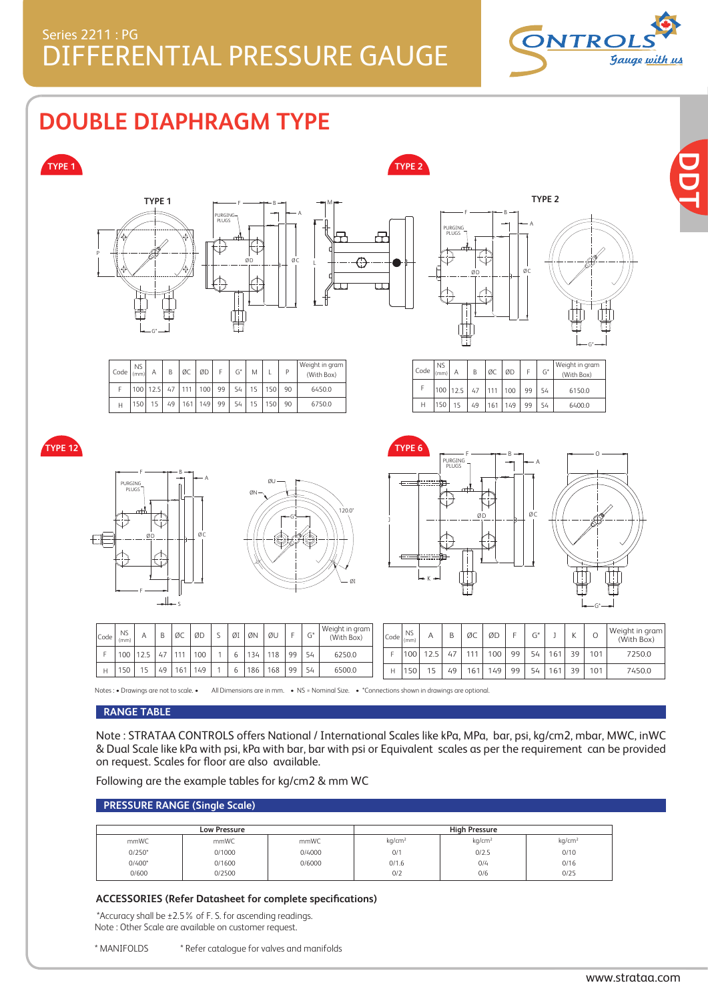

**DDT**

**DOUBLE DIAPHRAGM TYPE**



Note : STRATAA CONTROLS offers National / International Scales like kPa, MPa, bar, psi, kg/cm2, mbar, MWC, inWC & Dual Scale like kPa with psi, kPa with bar, bar with psi or Equivalent scales as per the requirement can be provided on request. Scales for floor are also available.

Following are the example tables for kg/cm2 & mm WC

#### **PRESSURE RANGE (Single Scale)**

|          | <b>Low Pressure</b> |        |                    | <b>High Pressure</b> |                    |
|----------|---------------------|--------|--------------------|----------------------|--------------------|
| mmWC     | mmWC                | mmWC   | kg/cm <sup>2</sup> | kg/cm <sup>2</sup>   | kg/cm <sup>2</sup> |
| $0/250*$ | 0/1000              | 0/4000 | 0/1                | 0/2.5                | 0/10               |
| $0/400*$ | 0/1600              | 0/6000 | 0/1.6              | 0/4                  | 0/16               |
| 0/600    | 0/2500              |        | 0/2                | 0/6                  | 0/25               |

#### **ACCESSORIES (Refer Datasheet for complete specifications)**

 \*Accuracy shall be ±2.5% of F. S. for ascending readings. Note : Other Scale are available on customer request.

| * MANIFOLDS | * Refer catalogue for valves and manifolds |  |
|-------------|--------------------------------------------|--|
|             |                                            |  |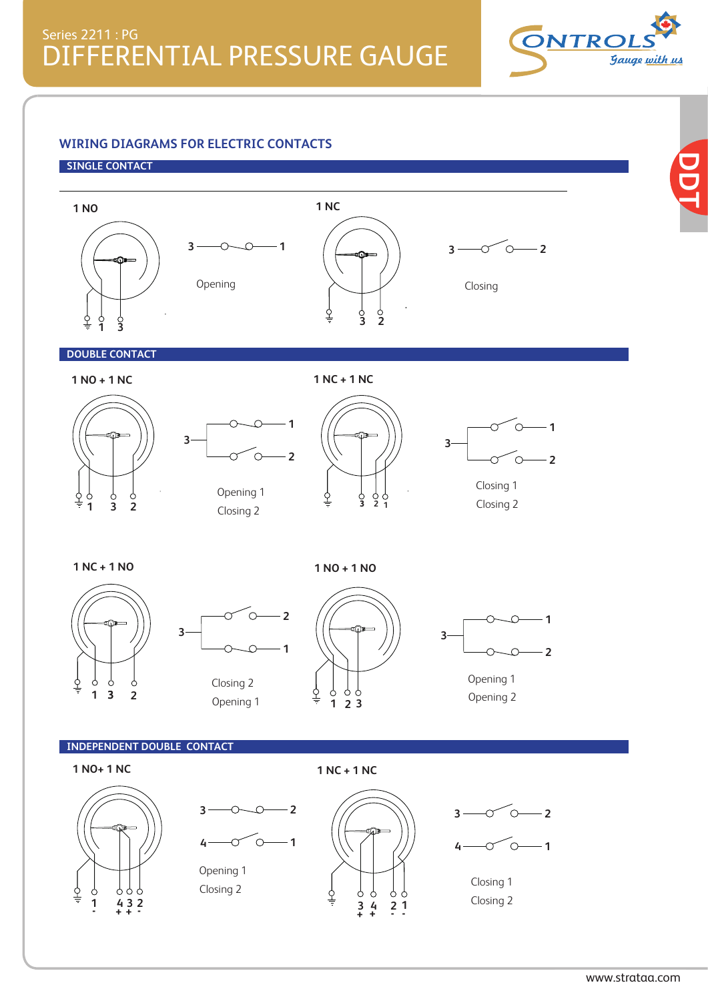

**DDT**

## **WIRING DIAGRAMS FOR ELECTRIC CONTACTS**